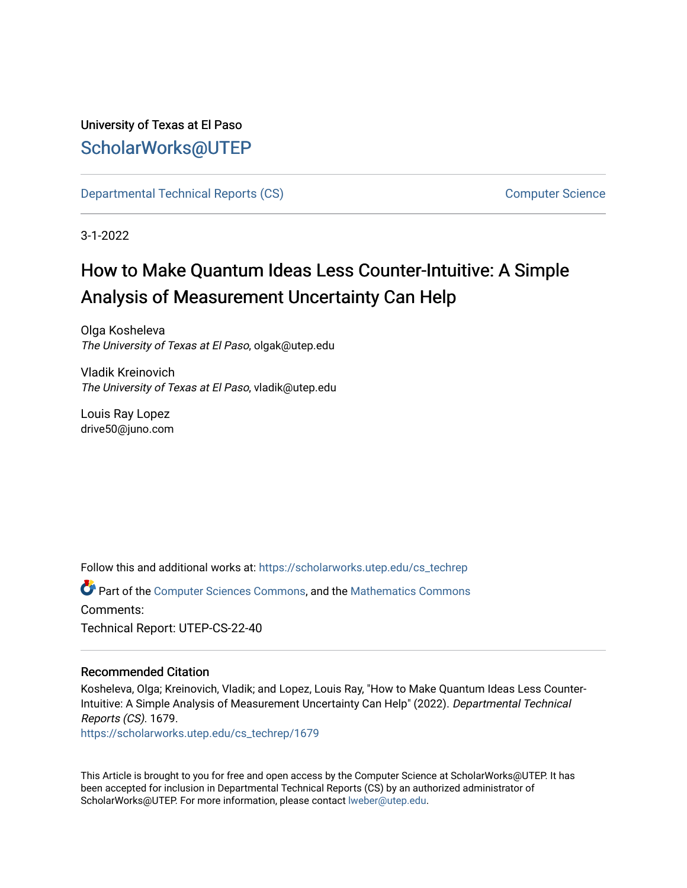# University of Texas at El Paso [ScholarWorks@UTEP](https://scholarworks.utep.edu/)

[Departmental Technical Reports \(CS\)](https://scholarworks.utep.edu/cs_techrep) [Computer Science](https://scholarworks.utep.edu/computer) 

3-1-2022

# How to Make Quantum Ideas Less Counter-Intuitive: A Simple Analysis of Measurement Uncertainty Can Help

Olga Kosheleva The University of Texas at El Paso, olgak@utep.edu

Vladik Kreinovich The University of Texas at El Paso, vladik@utep.edu

Louis Ray Lopez drive50@juno.com

Follow this and additional works at: [https://scholarworks.utep.edu/cs\\_techrep](https://scholarworks.utep.edu/cs_techrep?utm_source=scholarworks.utep.edu%2Fcs_techrep%2F1679&utm_medium=PDF&utm_campaign=PDFCoverPages) 

Part of the [Computer Sciences Commons](http://network.bepress.com/hgg/discipline/142?utm_source=scholarworks.utep.edu%2Fcs_techrep%2F1679&utm_medium=PDF&utm_campaign=PDFCoverPages), and the [Mathematics Commons](http://network.bepress.com/hgg/discipline/174?utm_source=scholarworks.utep.edu%2Fcs_techrep%2F1679&utm_medium=PDF&utm_campaign=PDFCoverPages)  Comments: Technical Report: UTEP-CS-22-40

## Recommended Citation

Kosheleva, Olga; Kreinovich, Vladik; and Lopez, Louis Ray, "How to Make Quantum Ideas Less Counter-Intuitive: A Simple Analysis of Measurement Uncertainty Can Help" (2022). Departmental Technical Reports (CS). 1679. [https://scholarworks.utep.edu/cs\\_techrep/1679](https://scholarworks.utep.edu/cs_techrep/1679?utm_source=scholarworks.utep.edu%2Fcs_techrep%2F1679&utm_medium=PDF&utm_campaign=PDFCoverPages) 

This Article is brought to you for free and open access by the Computer Science at ScholarWorks@UTEP. It has been accepted for inclusion in Departmental Technical Reports (CS) by an authorized administrator of ScholarWorks@UTEP. For more information, please contact [lweber@utep.edu](mailto:lweber@utep.edu).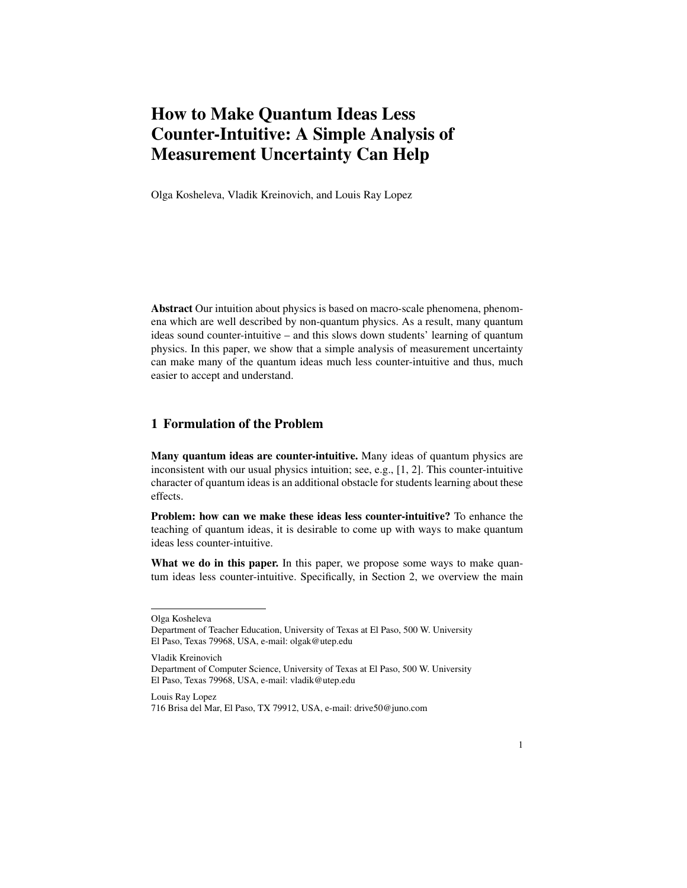# How to Make Quantum Ideas Less Counter-Intuitive: A Simple Analysis of Measurement Uncertainty Can Help

Olga Kosheleva, Vladik Kreinovich, and Louis Ray Lopez

Abstract Our intuition about physics is based on macro-scale phenomena, phenomena which are well described by non-quantum physics. As a result, many quantum ideas sound counter-intuitive – and this slows down students' learning of quantum physics. In this paper, we show that a simple analysis of measurement uncertainty can make many of the quantum ideas much less counter-intuitive and thus, much easier to accept and understand.

#### 1 Formulation of the Problem

Many quantum ideas are counter-intuitive. Many ideas of quantum physics are inconsistent with our usual physics intuition; see, e.g., [1, 2]. This counter-intuitive character of quantum ideas is an additional obstacle for students learning about these effects.

Problem: how can we make these ideas less counter-intuitive? To enhance the teaching of quantum ideas, it is desirable to come up with ways to make quantum ideas less counter-intuitive.

What we do in this paper. In this paper, we propose some ways to make quantum ideas less counter-intuitive. Specifically, in Section 2, we overview the main

Vladik Kreinovich

Louis Ray Lopez

Olga Kosheleva

Department of Teacher Education, University of Texas at El Paso, 500 W. University El Paso, Texas 79968, USA, e-mail: olgak@utep.edu

Department of Computer Science, University of Texas at El Paso, 500 W. University El Paso, Texas 79968, USA, e-mail: vladik@utep.edu

<sup>716</sup> Brisa del Mar, El Paso, TX 79912, USA, e-mail: drive50@juno.com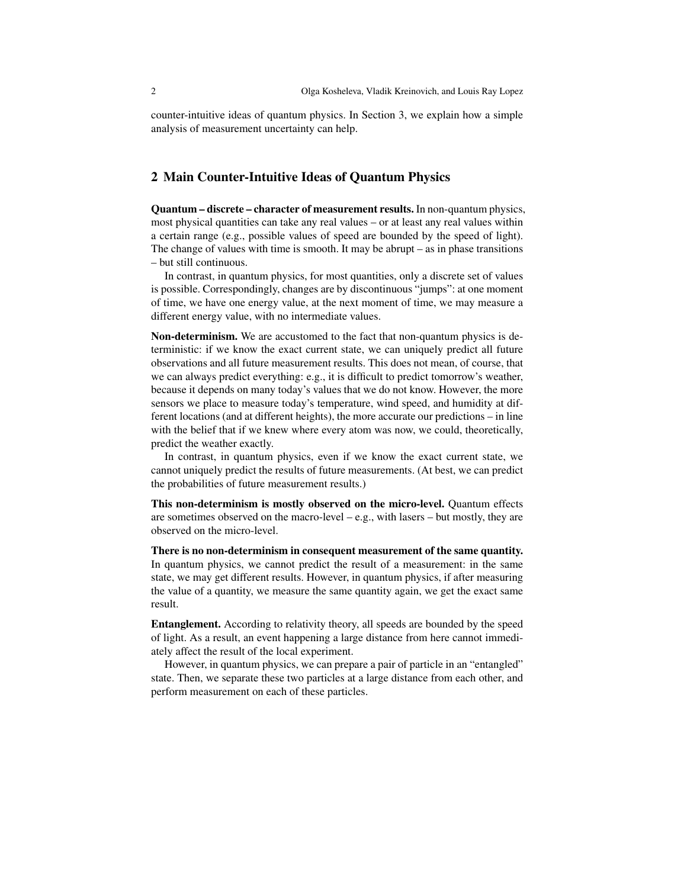counter-intuitive ideas of quantum physics. In Section 3, we explain how a simple analysis of measurement uncertainty can help.

#### 2 Main Counter-Intuitive Ideas of Quantum Physics

Quantum – discrete – character of measurement results. In non-quantum physics, most physical quantities can take any real values – or at least any real values within a certain range (e.g., possible values of speed are bounded by the speed of light). The change of values with time is smooth. It may be abrupt – as in phase transitions – but still continuous.

In contrast, in quantum physics, for most quantities, only a discrete set of values is possible. Correspondingly, changes are by discontinuous "jumps": at one moment of time, we have one energy value, at the next moment of time, we may measure a different energy value, with no intermediate values.

Non-determinism. We are accustomed to the fact that non-quantum physics is deterministic: if we know the exact current state, we can uniquely predict all future observations and all future measurement results. This does not mean, of course, that we can always predict everything: e.g., it is difficult to predict tomorrow's weather, because it depends on many today's values that we do not know. However, the more sensors we place to measure today's temperature, wind speed, and humidity at different locations (and at different heights), the more accurate our predictions – in line with the belief that if we knew where every atom was now, we could, theoretically, predict the weather exactly.

In contrast, in quantum physics, even if we know the exact current state, we cannot uniquely predict the results of future measurements. (At best, we can predict the probabilities of future measurement results.)

This non-determinism is mostly observed on the micro-level. Quantum effects are sometimes observed on the macro-level – e.g., with lasers – but mostly, they are observed on the micro-level.

There is no non-determinism in consequent measurement of the same quantity. In quantum physics, we cannot predict the result of a measurement: in the same state, we may get different results. However, in quantum physics, if after measuring the value of a quantity, we measure the same quantity again, we get the exact same result.

Entanglement. According to relativity theory, all speeds are bounded by the speed of light. As a result, an event happening a large distance from here cannot immediately affect the result of the local experiment.

However, in quantum physics, we can prepare a pair of particle in an "entangled" state. Then, we separate these two particles at a large distance from each other, and perform measurement on each of these particles.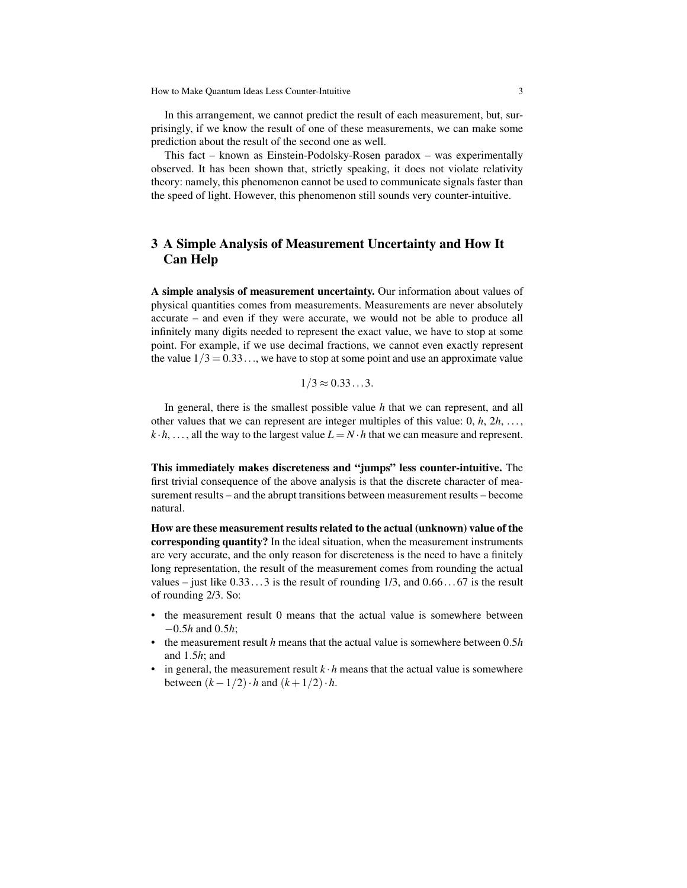In this arrangement, we cannot predict the result of each measurement, but, surprisingly, if we know the result of one of these measurements, we can make some prediction about the result of the second one as well.

This fact – known as Einstein-Podolsky-Rosen paradox – was experimentally observed. It has been shown that, strictly speaking, it does not violate relativity theory: namely, this phenomenon cannot be used to communicate signals faster than the speed of light. However, this phenomenon still sounds very counter-intuitive.

## 3 A Simple Analysis of Measurement Uncertainty and How It Can Help

A simple analysis of measurement uncertainty. Our information about values of physical quantities comes from measurements. Measurements are never absolutely accurate – and even if they were accurate, we would not be able to produce all infinitely many digits needed to represent the exact value, we have to stop at some point. For example, if we use decimal fractions, we cannot even exactly represent the value  $1/3 = 0.33...$ , we have to stop at some point and use an approximate value

$$
1/3 \approx 0.33\dots3.
$$

In general, there is the smallest possible value *h* that we can represent, and all other values that we can represent are integer multiples of this value:  $0, h, 2h, \ldots$ ,  $k \cdot h$ , ..., all the way to the largest value  $L = N \cdot h$  that we can measure and represent.

This immediately makes discreteness and "jumps" less counter-intuitive. The first trivial consequence of the above analysis is that the discrete character of measurement results – and the abrupt transitions between measurement results – become natural.

How are these measurement results related to the actual (unknown) value of the corresponding quantity? In the ideal situation, when the measurement instruments are very accurate, and the only reason for discreteness is the need to have a finitely long representation, the result of the measurement comes from rounding the actual values – just like  $0.33...3$  is the result of rounding  $1/3$ , and  $0.66...67$  is the result of rounding 2/3. So:

- the measurement result 0 means that the actual value is somewhere between −0.5*h* and 0.5*h*;
- the measurement result *h* means that the actual value is somewhere between 0.5*h* and 1.5*h*; and
- in general, the measurement result  $k \cdot h$  means that the actual value is somewhere between  $(k-1/2) \cdot h$  and  $(k+1/2) \cdot h$ .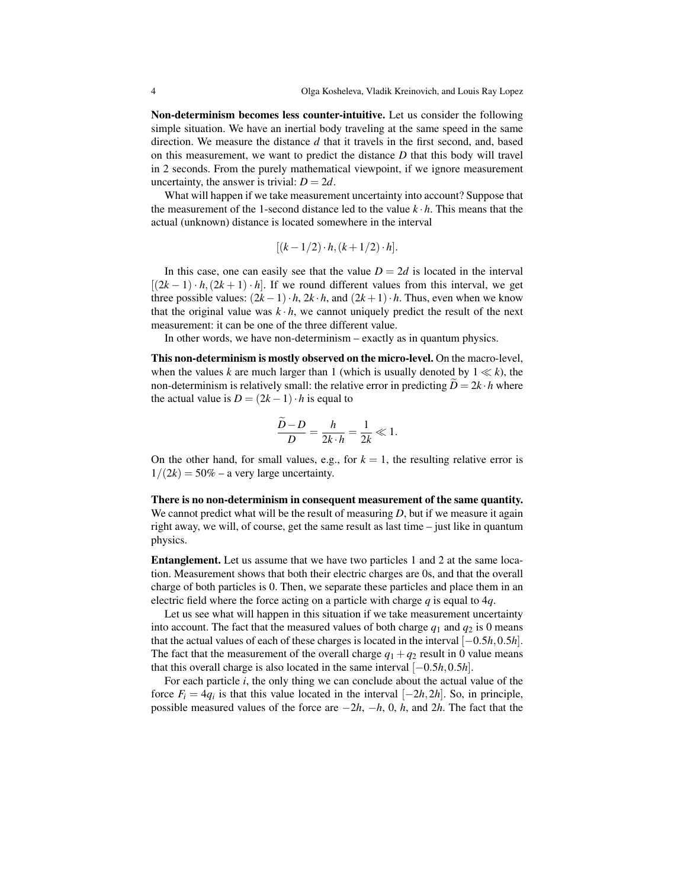Non-determinism becomes less counter-intuitive. Let us consider the following simple situation. We have an inertial body traveling at the same speed in the same direction. We measure the distance *d* that it travels in the first second, and, based on this measurement, we want to predict the distance *D* that this body will travel in 2 seconds. From the purely mathematical viewpoint, if we ignore measurement uncertainty, the answer is trivial:  $D = 2d$ .

What will happen if we take measurement uncertainty into account? Suppose that the measurement of the 1-second distance led to the value *k* · *h*. This means that the actual (unknown) distance is located somewhere in the interval

$$
[(k-1/2) \cdot h, (k+1/2) \cdot h].
$$

In this case, one can easily see that the value  $D = 2d$  is located in the interval  $[(2k-1) \cdot h, (2k+1) \cdot h]$ . If we round different values from this interval, we get three possible values:  $(2k-1) \cdot h$ ,  $2k \cdot h$ , and  $(2k+1) \cdot h$ . Thus, even when we know that the original value was  $k \cdot h$ , we cannot uniquely predict the result of the next measurement: it can be one of the three different value.

In other words, we have non-determinism – exactly as in quantum physics.

This non-determinism is mostly observed on the micro-level. On the macro-level, when the values *k* are much larger than 1 (which is usually denoted by  $1 \ll k$ ), the non-determinism is relatively small: the relative error in predicting  $D = 2k \cdot h$  where the actual value is  $D = (2k - 1) \cdot h$  is equal to

$$
\frac{\overline{D}-D}{D} = \frac{h}{2k \cdot h} = \frac{1}{2k} \ll 1.
$$

On the other hand, for small values, e.g., for  $k = 1$ , the resulting relative error is  $1/(2k) = 50\%$  – a very large uncertainty.

There is no non-determinism in consequent measurement of the same quantity. We cannot predict what will be the result of measuring *D*, but if we measure it again right away, we will, of course, get the same result as last time – just like in quantum physics.

Entanglement. Let us assume that we have two particles 1 and 2 at the same location. Measurement shows that both their electric charges are 0s, and that the overall charge of both particles is 0. Then, we separate these particles and place them in an electric field where the force acting on a particle with charge *q* is equal to 4*q*.

Let us see what will happen in this situation if we take measurement uncertainty into account. The fact that the measured values of both charge  $q_1$  and  $q_2$  is 0 means that the actual values of each of these charges is located in the interval [−0.5*h*,0.5*h*]. The fact that the measurement of the overall charge  $q_1 + q_2$  result in 0 value means that this overall charge is also located in the same interval  $[-0.5h, 0.5h]$ .

For each particle *i*, the only thing we can conclude about the actual value of the force  $F_i = 4q_i$  is that this value located in the interval  $[-2h, 2h]$ . So, in principle, possible measured values of the force are −2*h*, −*h*, 0, *h*, and 2*h*. The fact that the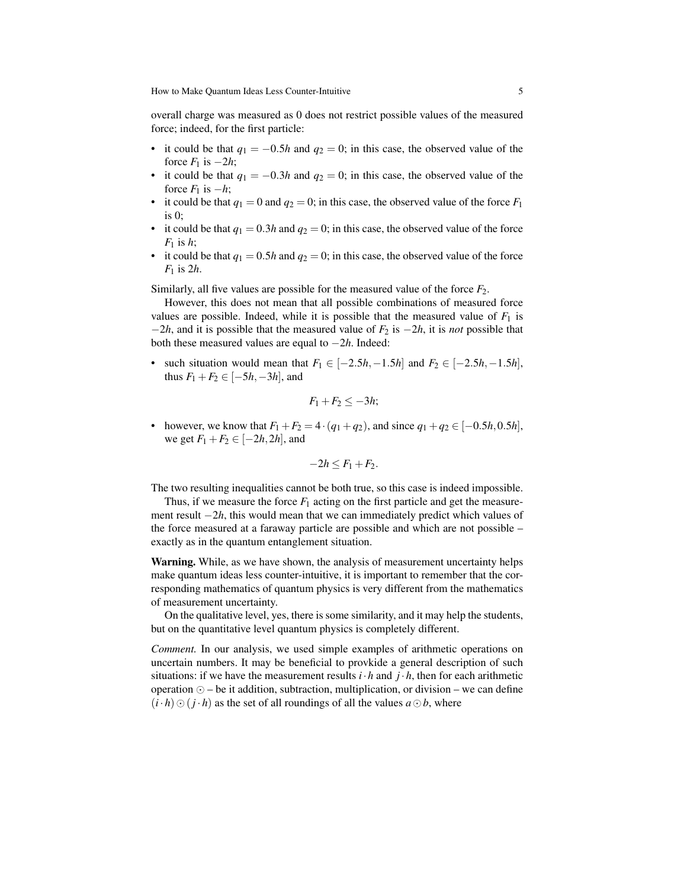How to Make Quantum Ideas Less Counter-Intuitive 5

overall charge was measured as 0 does not restrict possible values of the measured force; indeed, for the first particle:

- it could be that  $q_1 = -0.5h$  and  $q_2 = 0$ ; in this case, the observed value of the force  $F_1$  is  $-2h$ ;
- it could be that  $q_1 = -0.3h$  and  $q_2 = 0$ ; in this case, the observed value of the force  $F_1$  is  $-h$ ;
- it could be that  $q_1 = 0$  and  $q_2 = 0$ ; in this case, the observed value of the force  $F_1$ is 0;
- it could be that  $q_1 = 0.3h$  and  $q_2 = 0$ ; in this case, the observed value of the force  $F_1$  is  $h$ ;
- it could be that  $q_1 = 0.5h$  and  $q_2 = 0$ ; in this case, the observed value of the force *F*<sup>1</sup> is 2*h*.

Similarly, all five values are possible for the measured value of the force  $F_2$ .

However, this does not mean that all possible combinations of measured force values are possible. Indeed, while it is possible that the measured value of  $F_1$  is  $-2h$ , and it is possible that the measured value of  $F_2$  is  $-2h$ , it is *not* possible that both these measured values are equal to −2*h*. Indeed:

• such situation would mean that  $F_1 \in [-2.5h, -1.5h]$  and  $F_2 \in [-2.5h, -1.5h]$ , thus  $F_1 + F_2 \in [-5h, -3h]$ , and

$$
F_1+F_2\leq -3h;
$$

• however, we know that  $F_1 + F_2 = 4 \cdot (q_1 + q_2)$ , and since  $q_1 + q_2 \in [-0.5h, 0.5h]$ , we get  $F_1 + F_2 \in [-2h, 2h]$ , and

$$
-2h \leq F_1 + F_2.
$$

The two resulting inequalities cannot be both true, so this case is indeed impossible.

Thus, if we measure the force  $F_1$  acting on the first particle and get the measurement result −2*h*, this would mean that we can immediately predict which values of the force measured at a faraway particle are possible and which are not possible – exactly as in the quantum entanglement situation.

Warning. While, as we have shown, the analysis of measurement uncertainty helps make quantum ideas less counter-intuitive, it is important to remember that the corresponding mathematics of quantum physics is very different from the mathematics of measurement uncertainty.

On the qualitative level, yes, there is some similarity, and it may help the students, but on the quantitative level quantum physics is completely different.

*Comment.* In our analysis, we used simple examples of arithmetic operations on uncertain numbers. It may be beneficial to provkide a general description of such situations: if we have the measurement results  $i \cdot h$  and  $j \cdot h$ , then for each arithmetic operation  $\odot$  – be it addition, subtraction, multiplication, or division – we can define  $(i \cdot h) \odot (j \cdot h)$  as the set of all roundings of all the values  $a \odot b$ , where